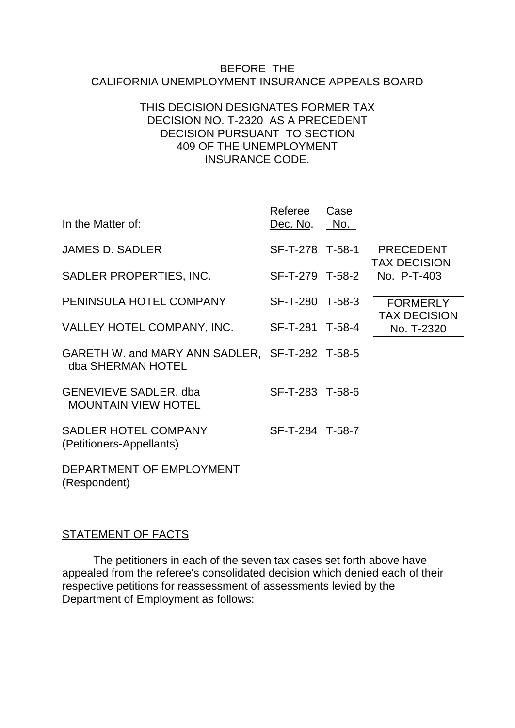#### BEFORE THE CALIFORNIA UNEMPLOYMENT INSURANCE APPEALS BOARD

#### THIS DECISION DESIGNATES FORMER TAX DECISION NO. T-2320 AS A PRECEDENT DECISION PURSUANT TO SECTION 409 OF THE UNEMPLOYMENT INSURANCE CODE.

| In the Matter of:                                                   | Referee<br>Dec. No. | Case<br>No. |                                         |
|---------------------------------------------------------------------|---------------------|-------------|-----------------------------------------|
| <b>JAMES D. SADLER</b>                                              | SF-T-278 T-58-1     |             | <b>PRECEDENT</b><br><b>TAX DECISION</b> |
| SADLER PROPERTIES, INC.                                             | SF-T-279 T-58-2     |             | No. P-T-403                             |
| PENINSULA HOTEL COMPANY                                             | SF-T-280 T-58-3     |             | <b>FORMERLY</b><br><b>TAX DECISION</b>  |
| VALLEY HOTEL COMPANY, INC.                                          | SF-T-281 T-58-4     |             | No. T-2320                              |
| GARETH W. and MARY ANN SADLER, SF-T-282 T-58-5<br>dba SHERMAN HOTEL |                     |             |                                         |
| <b>GENEVIEVE SADLER, dba</b><br><b>MOUNTAIN VIEW HOTEL</b>          | SF-T-283 T-58-6     |             |                                         |
| <b>SADLER HOTEL COMPANY</b><br>(Petitioners-Appellants)             | SF-T-284 T-58-7     |             |                                         |
| DEPARTMENT OF EMPLOYMENT                                            |                     |             |                                         |

(Respondent)

## STATEMENT OF FACTS

The petitioners in each of the seven tax cases set forth above have appealed from the referee's consolidated decision which denied each of their respective petitions for reassessment of assessments levied by the Department of Employment as follows: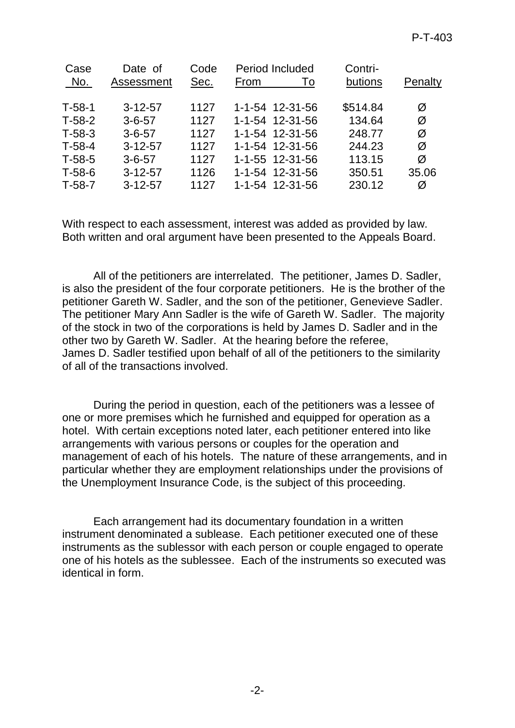| Date of<br>Assessment | Code<br>Sec. | Period Included<br>From<br>To | Contri-<br>butions | Penalty |
|-----------------------|--------------|-------------------------------|--------------------|---------|
| $3 - 12 - 57$         | 1127         | 1-1-54 12-31-56               | \$514.84           | Ø       |
| $3 - 6 - 57$          | 1127         | 1-1-54 12-31-56               | 134.64             | Ø       |
| $3 - 6 - 57$          | 1127         | 1-1-54 12-31-56               | 248.77             | Ø       |
| $3 - 12 - 57$         | 1127         | 1-1-54 12-31-56               | 244.23             | Ø       |
| $3 - 6 - 57$          | 1127         | 1-1-55 12-31-56               | 113.15             | Ø       |
| $3 - 12 - 57$         | 1126         | 1-1-54 12-31-56               | 350.51             | 35.06   |
| $3 - 12 - 57$         | 1127         | 1-1-54 12-31-56               | 230.12             | Ø       |
|                       |              |                               |                    |         |

With respect to each assessment, interest was added as provided by law. Both written and oral argument have been presented to the Appeals Board.

All of the petitioners are interrelated. The petitioner, James D. Sadler, is also the president of the four corporate petitioners. He is the brother of the petitioner Gareth W. Sadler, and the son of the petitioner, Genevieve Sadler. The petitioner Mary Ann Sadler is the wife of Gareth W. Sadler. The majority of the stock in two of the corporations is held by James D. Sadler and in the other two by Gareth W. Sadler. At the hearing before the referee, James D. Sadler testified upon behalf of all of the petitioners to the similarity of all of the transactions involved.

During the period in question, each of the petitioners was a lessee of one or more premises which he furnished and equipped for operation as a hotel. With certain exceptions noted later, each petitioner entered into like arrangements with various persons or couples for the operation and management of each of his hotels. The nature of these arrangements, and in particular whether they are employment relationships under the provisions of the Unemployment Insurance Code, is the subject of this proceeding.

Each arrangement had its documentary foundation in a written instrument denominated a sublease. Each petitioner executed one of these instruments as the sublessor with each person or couple engaged to operate one of his hotels as the sublessee. Each of the instruments so executed was identical in form.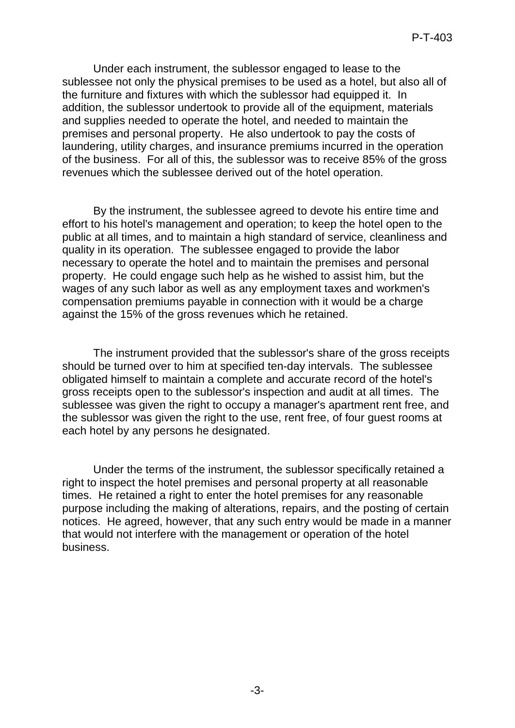Under each instrument, the sublessor engaged to lease to the sublessee not only the physical premises to be used as a hotel, but also all of the furniture and fixtures with which the sublessor had equipped it. In addition, the sublessor undertook to provide all of the equipment, materials and supplies needed to operate the hotel, and needed to maintain the premises and personal property. He also undertook to pay the costs of laundering, utility charges, and insurance premiums incurred in the operation of the business. For all of this, the sublessor was to receive 85% of the gross revenues which the sublessee derived out of the hotel operation.

By the instrument, the sublessee agreed to devote his entire time and effort to his hotel's management and operation; to keep the hotel open to the public at all times, and to maintain a high standard of service, cleanliness and quality in its operation. The sublessee engaged to provide the labor necessary to operate the hotel and to maintain the premises and personal property. He could engage such help as he wished to assist him, but the wages of any such labor as well as any employment taxes and workmen's compensation premiums payable in connection with it would be a charge against the 15% of the gross revenues which he retained.

The instrument provided that the sublessor's share of the gross receipts should be turned over to him at specified ten-day intervals. The sublessee obligated himself to maintain a complete and accurate record of the hotel's gross receipts open to the sublessor's inspection and audit at all times. The sublessee was given the right to occupy a manager's apartment rent free, and the sublessor was given the right to the use, rent free, of four guest rooms at each hotel by any persons he designated.

Under the terms of the instrument, the sublessor specifically retained a right to inspect the hotel premises and personal property at all reasonable times. He retained a right to enter the hotel premises for any reasonable purpose including the making of alterations, repairs, and the posting of certain notices. He agreed, however, that any such entry would be made in a manner that would not interfere with the management or operation of the hotel business.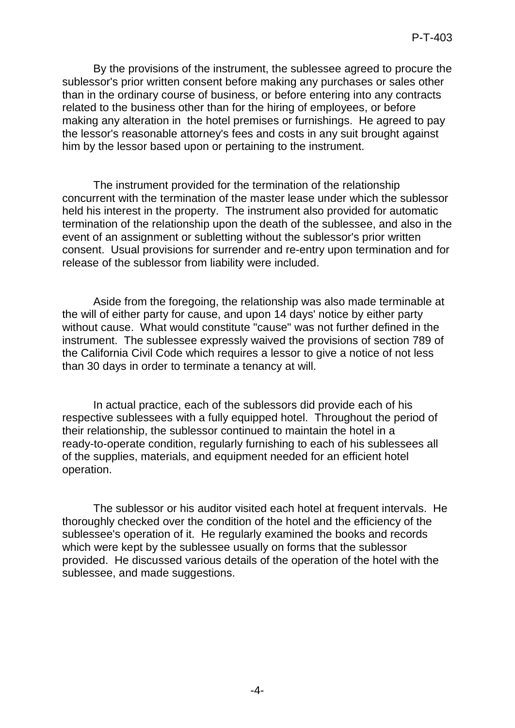By the provisions of the instrument, the sublessee agreed to procure the sublessor's prior written consent before making any purchases or sales other than in the ordinary course of business, or before entering into any contracts related to the business other than for the hiring of employees, or before making any alteration in the hotel premises or furnishings. He agreed to pay the lessor's reasonable attorney's fees and costs in any suit brought against him by the lessor based upon or pertaining to the instrument.

The instrument provided for the termination of the relationship concurrent with the termination of the master lease under which the sublessor held his interest in the property. The instrument also provided for automatic termination of the relationship upon the death of the sublessee, and also in the event of an assignment or subletting without the sublessor's prior written consent. Usual provisions for surrender and re-entry upon termination and for release of the sublessor from liability were included.

Aside from the foregoing, the relationship was also made terminable at the will of either party for cause, and upon 14 days' notice by either party without cause. What would constitute "cause" was not further defined in the instrument. The sublessee expressly waived the provisions of section 789 of the California Civil Code which requires a lessor to give a notice of not less than 30 days in order to terminate a tenancy at will.

In actual practice, each of the sublessors did provide each of his respective sublessees with a fully equipped hotel. Throughout the period of their relationship, the sublessor continued to maintain the hotel in a ready-to-operate condition, regularly furnishing to each of his sublessees all of the supplies, materials, and equipment needed for an efficient hotel operation.

The sublessor or his auditor visited each hotel at frequent intervals. He thoroughly checked over the condition of the hotel and the efficiency of the sublessee's operation of it. He regularly examined the books and records which were kept by the sublessee usually on forms that the sublessor provided. He discussed various details of the operation of the hotel with the sublessee, and made suggestions.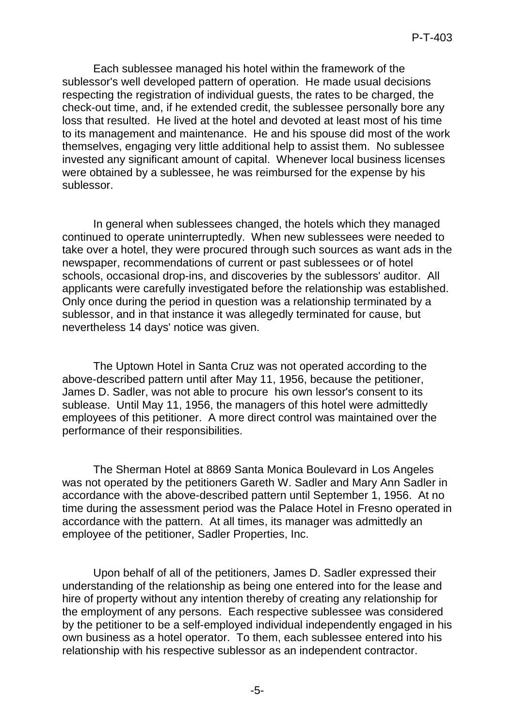Each sublessee managed his hotel within the framework of the sublessor's well developed pattern of operation. He made usual decisions respecting the registration of individual guests, the rates to be charged, the check-out time, and, if he extended credit, the sublessee personally bore any loss that resulted. He lived at the hotel and devoted at least most of his time to its management and maintenance. He and his spouse did most of the work themselves, engaging very little additional help to assist them. No sublessee invested any significant amount of capital. Whenever local business licenses were obtained by a sublessee, he was reimbursed for the expense by his sublessor.

In general when sublessees changed, the hotels which they managed continued to operate uninterruptedly. When new sublessees were needed to take over a hotel, they were procured through such sources as want ads in the newspaper, recommendations of current or past sublessees or of hotel schools, occasional drop-ins, and discoveries by the sublessors' auditor. All applicants were carefully investigated before the relationship was established. Only once during the period in question was a relationship terminated by a sublessor, and in that instance it was allegedly terminated for cause, but nevertheless 14 days' notice was given.

The Uptown Hotel in Santa Cruz was not operated according to the above-described pattern until after May 11, 1956, because the petitioner, James D. Sadler, was not able to procure his own lessor's consent to its sublease. Until May 11, 1956, the managers of this hotel were admittedly employees of this petitioner. A more direct control was maintained over the performance of their responsibilities.

The Sherman Hotel at 8869 Santa Monica Boulevard in Los Angeles was not operated by the petitioners Gareth W. Sadler and Mary Ann Sadler in accordance with the above-described pattern until September 1, 1956. At no time during the assessment period was the Palace Hotel in Fresno operated in accordance with the pattern. At all times, its manager was admittedly an employee of the petitioner, Sadler Properties, Inc.

Upon behalf of all of the petitioners, James D. Sadler expressed their understanding of the relationship as being one entered into for the lease and hire of property without any intention thereby of creating any relationship for the employment of any persons. Each respective sublessee was considered by the petitioner to be a self-employed individual independently engaged in his own business as a hotel operator. To them, each sublessee entered into his relationship with his respective sublessor as an independent contractor.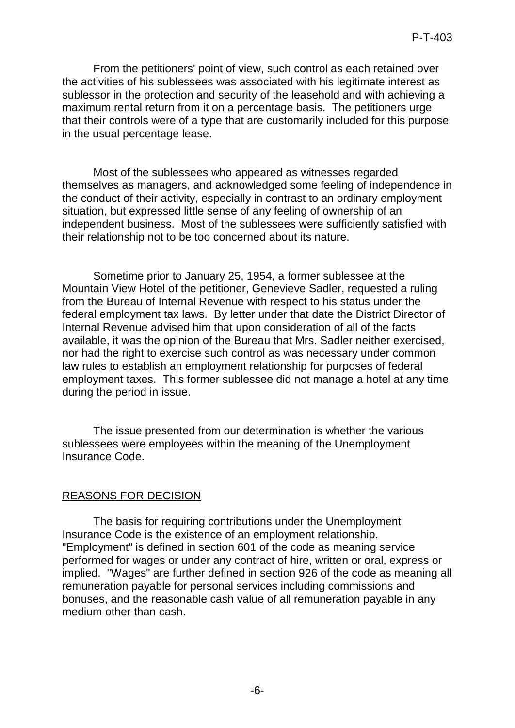From the petitioners' point of view, such control as each retained over the activities of his sublessees was associated with his legitimate interest as sublessor in the protection and security of the leasehold and with achieving a maximum rental return from it on a percentage basis. The petitioners urge that their controls were of a type that are customarily included for this purpose in the usual percentage lease.

Most of the sublessees who appeared as witnesses regarded themselves as managers, and acknowledged some feeling of independence in the conduct of their activity, especially in contrast to an ordinary employment situation, but expressed little sense of any feeling of ownership of an independent business. Most of the sublessees were sufficiently satisfied with their relationship not to be too concerned about its nature.

Sometime prior to January 25, 1954, a former sublessee at the Mountain View Hotel of the petitioner, Genevieve Sadler, requested a ruling from the Bureau of Internal Revenue with respect to his status under the federal employment tax laws. By letter under that date the District Director of Internal Revenue advised him that upon consideration of all of the facts available, it was the opinion of the Bureau that Mrs. Sadler neither exercised, nor had the right to exercise such control as was necessary under common law rules to establish an employment relationship for purposes of federal employment taxes. This former sublessee did not manage a hotel at any time during the period in issue.

The issue presented from our determination is whether the various sublessees were employees within the meaning of the Unemployment Insurance Code.

## REASONS FOR DECISION

The basis for requiring contributions under the Unemployment Insurance Code is the existence of an employment relationship. "Employment" is defined in section 601 of the code as meaning service performed for wages or under any contract of hire, written or oral, express or implied. "Wages" are further defined in section 926 of the code as meaning all remuneration payable for personal services including commissions and bonuses, and the reasonable cash value of all remuneration payable in any medium other than cash.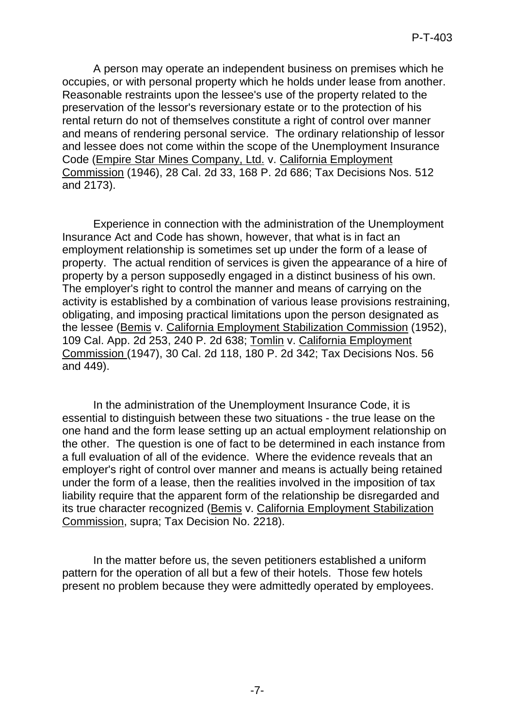A person may operate an independent business on premises which he occupies, or with personal property which he holds under lease from another. Reasonable restraints upon the lessee's use of the property related to the preservation of the lessor's reversionary estate or to the protection of his rental return do not of themselves constitute a right of control over manner and means of rendering personal service. The ordinary relationship of lessor and lessee does not come within the scope of the Unemployment Insurance Code (Empire Star Mines Company, Ltd. v. California Employment Commission (1946), 28 Cal. 2d 33, 168 P. 2d 686; Tax Decisions Nos. 512 and 2173).

Experience in connection with the administration of the Unemployment Insurance Act and Code has shown, however, that what is in fact an employment relationship is sometimes set up under the form of a lease of property. The actual rendition of services is given the appearance of a hire of property by a person supposedly engaged in a distinct business of his own. The employer's right to control the manner and means of carrying on the activity is established by a combination of various lease provisions restraining, obligating, and imposing practical limitations upon the person designated as the lessee (Bemis v. California Employment Stabilization Commission (1952), 109 Cal. App. 2d 253, 240 P. 2d 638; Tomlin v. California Employment Commission (1947), 30 Cal. 2d 118, 180 P. 2d 342; Tax Decisions Nos. 56 and 449).

In the administration of the Unemployment Insurance Code, it is essential to distinguish between these two situations - the true lease on the one hand and the form lease setting up an actual employment relationship on the other. The question is one of fact to be determined in each instance from a full evaluation of all of the evidence. Where the evidence reveals that an employer's right of control over manner and means is actually being retained under the form of a lease, then the realities involved in the imposition of tax liability require that the apparent form of the relationship be disregarded and its true character recognized (Bemis v. California Employment Stabilization Commission, supra; Tax Decision No. 2218).

In the matter before us, the seven petitioners established a uniform pattern for the operation of all but a few of their hotels. Those few hotels present no problem because they were admittedly operated by employees.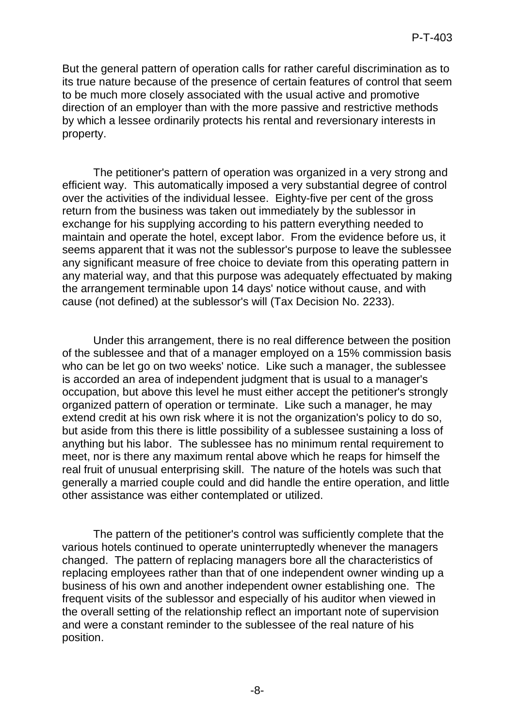But the general pattern of operation calls for rather careful discrimination as to its true nature because of the presence of certain features of control that seem to be much more closely associated with the usual active and promotive direction of an employer than with the more passive and restrictive methods by which a lessee ordinarily protects his rental and reversionary interests in property.

The petitioner's pattern of operation was organized in a very strong and efficient way. This automatically imposed a very substantial degree of control over the activities of the individual lessee. Eighty-five per cent of the gross return from the business was taken out immediately by the sublessor in exchange for his supplying according to his pattern everything needed to maintain and operate the hotel, except labor. From the evidence before us, it seems apparent that it was not the sublessor's purpose to leave the sublessee any significant measure of free choice to deviate from this operating pattern in any material way, and that this purpose was adequately effectuated by making the arrangement terminable upon 14 days' notice without cause, and with cause (not defined) at the sublessor's will (Tax Decision No. 2233).

Under this arrangement, there is no real difference between the position of the sublessee and that of a manager employed on a 15% commission basis who can be let go on two weeks' notice. Like such a manager, the sublessee is accorded an area of independent judgment that is usual to a manager's occupation, but above this level he must either accept the petitioner's strongly organized pattern of operation or terminate. Like such a manager, he may extend credit at his own risk where it is not the organization's policy to do so, but aside from this there is little possibility of a sublessee sustaining a loss of anything but his labor. The sublessee has no minimum rental requirement to meet, nor is there any maximum rental above which he reaps for himself the real fruit of unusual enterprising skill. The nature of the hotels was such that generally a married couple could and did handle the entire operation, and little other assistance was either contemplated or utilized.

The pattern of the petitioner's control was sufficiently complete that the various hotels continued to operate uninterruptedly whenever the managers changed. The pattern of replacing managers bore all the characteristics of replacing employees rather than that of one independent owner winding up a business of his own and another independent owner establishing one. The frequent visits of the sublessor and especially of his auditor when viewed in the overall setting of the relationship reflect an important note of supervision and were a constant reminder to the sublessee of the real nature of his position.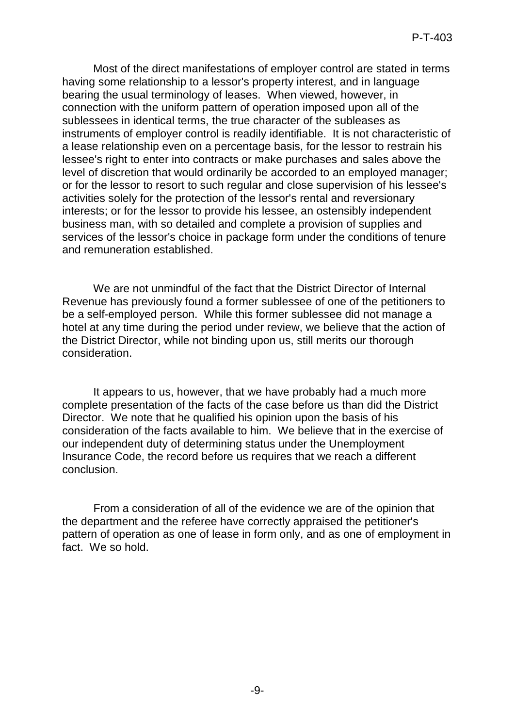Most of the direct manifestations of employer control are stated in terms having some relationship to a lessor's property interest, and in language bearing the usual terminology of leases. When viewed, however, in connection with the uniform pattern of operation imposed upon all of the sublessees in identical terms, the true character of the subleases as instruments of employer control is readily identifiable. It is not characteristic of a lease relationship even on a percentage basis, for the lessor to restrain his lessee's right to enter into contracts or make purchases and sales above the level of discretion that would ordinarily be accorded to an employed manager; or for the lessor to resort to such regular and close supervision of his lessee's activities solely for the protection of the lessor's rental and reversionary interests; or for the lessor to provide his lessee, an ostensibly independent business man, with so detailed and complete a provision of supplies and services of the lessor's choice in package form under the conditions of tenure and remuneration established.

We are not unmindful of the fact that the District Director of Internal Revenue has previously found a former sublessee of one of the petitioners to be a self-employed person. While this former sublessee did not manage a hotel at any time during the period under review, we believe that the action of the District Director, while not binding upon us, still merits our thorough consideration.

It appears to us, however, that we have probably had a much more complete presentation of the facts of the case before us than did the District Director. We note that he qualified his opinion upon the basis of his consideration of the facts available to him. We believe that in the exercise of our independent duty of determining status under the Unemployment Insurance Code, the record before us requires that we reach a different conclusion.

From a consideration of all of the evidence we are of the opinion that the department and the referee have correctly appraised the petitioner's pattern of operation as one of lease in form only, and as one of employment in fact. We so hold.